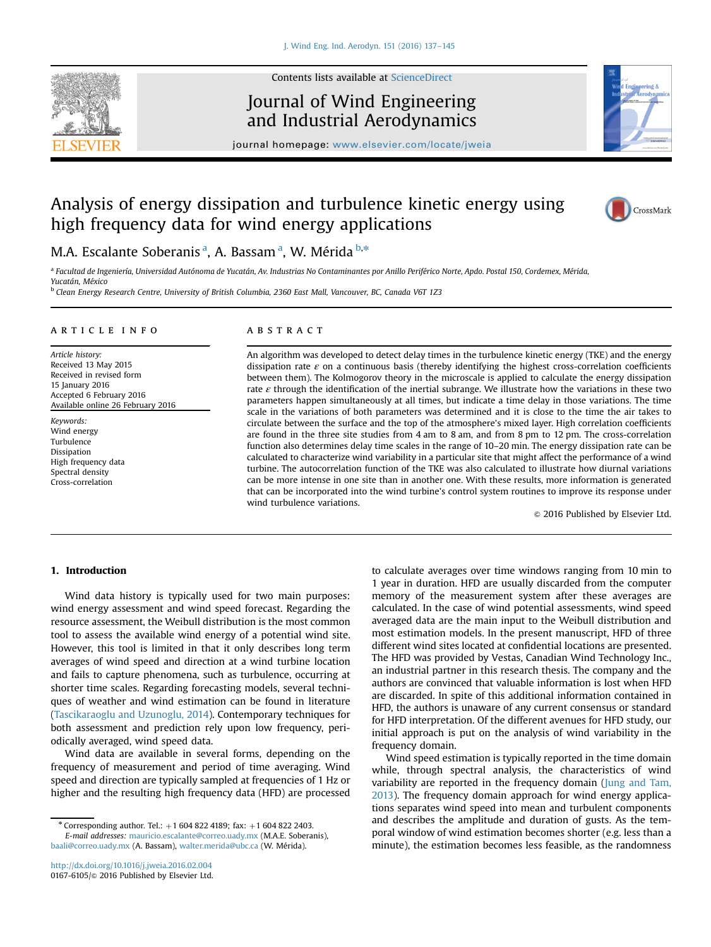

Contents lists available at [ScienceDirect](www.sciencedirect.com/science/journal/01676105)

## Journal of Wind Engineering and Industrial Aerodynamics



journal homepage: <www.elsevier.com/locate/jweia>

# Analysis of energy dissipation and turbulence kinetic energy using high frequency data for wind energy applications



### M.A. Escalante Soberanis<sup>a</sup>, A. Bassam<sup>a</sup>, W. Mérida <sup>b,\*</sup>

a Facultad de Ingeniería, Universidad Autónoma de Yucatán, Av. Industrias No Contaminantes por Anillo Periférico Norte, Apdo. Postal 150, Cordemex, Mérida, Yucatán, México

<sup>b</sup> Clean Energy Research Centre, University of British Columbia, 2360 East Mall, Vancouver, BC, Canada V6T 1Z3

#### article info

Article history: Received 13 May 2015 Received in revised form 15 January 2016 Accepted 6 February 2016 Available online 26 February 2016

Keywords: Wind energy Turbulence Dissipation High frequency data Spectral density Cross-correlation

#### **ABSTRACT**

An algorithm was developed to detect delay times in the turbulence kinetic energy (TKE) and the energy dissipation rate  $\varepsilon$  on a continuous basis (thereby identifying the highest cross-correlation coefficients between them). The Kolmogorov theory in the microscale is applied to calculate the energy dissipation rate  $\varepsilon$  through the identification of the inertial subrange. We illustrate how the variations in these two parameters happen simultaneously at all times, but indicate a time delay in those variations. The time scale in the variations of both parameters was determined and it is close to the time the air takes to circulate between the surface and the top of the atmosphere's mixed layer. High correlation coefficients are found in the three site studies from 4 am to 8 am, and from 8 pm to 12 pm. The cross-correlation function also determines delay time scales in the range of 10–20 min. The energy dissipation rate can be calculated to characterize wind variability in a particular site that might affect the performance of a wind turbine. The autocorrelation function of the TKE was also calculated to illustrate how diurnal variations can be more intense in one site than in another one. With these results, more information is generated that can be incorporated into the wind turbine's control system routines to improve its response under wind turbulence variations.

 $@$  2016 Published by Elsevier Ltd.

#### 1. Introduction

Wind data history is typically used for two main purposes: wind energy assessment and wind speed forecast. Regarding the resource assessment, the Weibull distribution is the most common tool to assess the available wind energy of a potential wind site. However, this tool is limited in that it only describes long term averages of wind speed and direction at a wind turbine location and fails to capture phenomena, such as turbulence, occurring at shorter time scales. Regarding forecasting models, several techniques of weather and wind estimation can be found in literature (Tascikaraoglu and Uzunoglu, 2014). Contemporary techniques for both assessment and prediction rely upon low frequency, periodically averaged, wind speed data.

Wind data are available in several forms, depending on the frequency of measurement and period of time averaging. Wind speed and direction are typically sampled at frequencies of 1 Hz or higher and the resulting high frequency data (HFD) are processed to calculate averages over time windows ranging from 10 min to 1 year in duration. HFD are usually discarded from the computer memory of the measurement system after these averages are calculated. In the case of wind potential assessments, wind speed averaged data are the main input to the Weibull distribution and most estimation models. In the present manuscript, HFD of three different wind sites located at confidential locations are presented. The HFD was provided by Vestas, Canadian Wind Technology Inc., an industrial partner in this research thesis. The company and the authors are convinced that valuable information is lost when HFD are discarded. In spite of this additional information contained in HFD, the authors is unaware of any current consensus or standard for HFD interpretation. Of the different avenues for HFD study, our initial approach is put on the analysis of wind variability in the frequency domain.

Wind speed estimation is typically reported in the time domain while, through spectral analysis, the characteristics of wind variability are reported in the frequency domain (Jung and Tam, 2013). The frequency domain approach for wind energy applications separates wind speed into mean and turbulent components and describes the amplitude and duration of gusts. As the temporal window of wind estimation becomes shorter (e.g. less than a minute), the estimation becomes less feasible, as the randomness

<sup>\*</sup> Corresponding author. Tel.:  $+1$  604 822 4189; fax:  $+1$  604 822 2403. E-mail addresses: [mauricio.escalante@correo.uady.mx](mailto:mauricio.escalante@mech.ubc.ca) (M.A.E. Soberanis), [baali@correo.uady.mx](mailto:baali@correo.uady.mx) (A. Bassam), [walter.merida@ubc.ca](mailto:walter.merida@ubc.ca) (W. Mérida).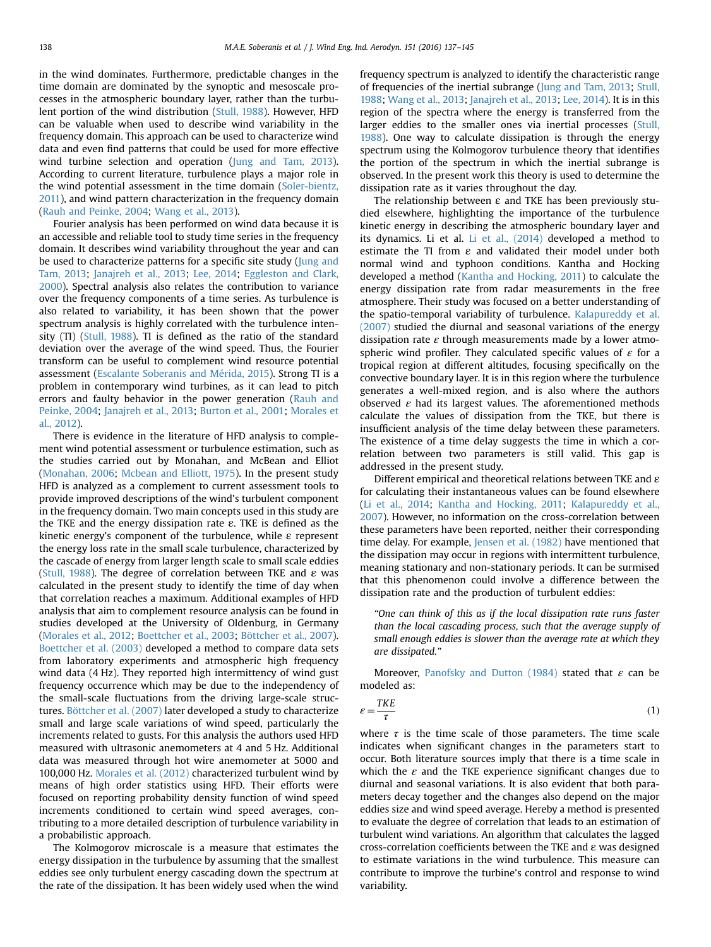in the wind dominates. Furthermore, predictable changes in the time domain are dominated by the synoptic and mesoscale processes in the atmospheric boundary layer, rather than the turbulent portion of the wind distribution (Stull, 1988). However, HFD can be valuable when used to describe wind variability in the frequency domain. This approach can be used to characterize wind data and even find patterns that could be used for more effective wind turbine selection and operation (Jung and Tam, 2013). According to current literature, turbulence plays a major role in the wind potential assessment in the time domain (Soler-bientz, 2011), and wind pattern characterization in the frequency domain (Rauh and Peinke, 2004; Wang et al., 2013).

Fourier analysis has been performed on wind data because it is an accessible and reliable tool to study time series in the frequency domain. It describes wind variability throughout the year and can be used to characterize patterns for a specific site study (Jung and Tam, 2013; Janajreh et al., 2013; Lee, 2014; Eggleston and Clark, 2000). Spectral analysis also relates the contribution to variance over the frequency components of a time series. As turbulence is also related to variability, it has been shown that the power spectrum analysis is highly correlated with the turbulence intensity (TI) (Stull, 1988). TI is defined as the ratio of the standard deviation over the average of the wind speed. Thus, the Fourier transform can be useful to complement wind resource potential assessment (Escalante Soberanis and Mérida, 2015). Strong TI is a problem in contemporary wind turbines, as it can lead to pitch errors and faulty behavior in the power generation (Rauh and Peinke, 2004; Janajreh et al., 2013; Burton et al., 2001; Morales et al., 2012).

There is evidence in the literature of HFD analysis to complement wind potential assessment or turbulence estimation, such as the studies carried out by Monahan, and McBean and Elliot (Monahan, 2006; Mcbean and Elliott, 1975). In the present study HFD is analyzed as a complement to current assessment tools to provide improved descriptions of the wind's turbulent component in the frequency domain. Two main concepts used in this study are the TKE and the energy dissipation rate  $\varepsilon$ . TKE is defined as the kinetic energy's component of the turbulence, while  $\varepsilon$  represent the energy loss rate in the small scale turbulence, characterized by the cascade of energy from larger length scale to small scale eddies (Stull, 1988). The degree of correlation between TKE and  $\varepsilon$  was calculated in the present study to identify the time of day when that correlation reaches a maximum. Additional examples of HFD analysis that aim to complement resource analysis can be found in studies developed at the University of Oldenburg, in Germany (Morales et al., 2012; Boettcher et al., 2003; Böttcher et al., 2007). Boettcher et al. (2003) developed a method to compare data sets from laboratory experiments and atmospheric high frequency wind data (4 Hz). They reported high intermittency of wind gust frequency occurrence which may be due to the independency of the small-scale fluctuations from the driving large-scale structures. Böttcher et al. (2007) later developed a study to characterize small and large scale variations of wind speed, particularly the increments related to gusts. For this analysis the authors used HFD measured with ultrasonic anemometers at 4 and 5 Hz. Additional data was measured through hot wire anemometer at 5000 and 100,000 Hz. Morales et al. (2012) characterized turbulent wind by means of high order statistics using HFD. Their efforts were focused on reporting probability density function of wind speed increments conditioned to certain wind speed averages, contributing to a more detailed description of turbulence variability in a probabilistic approach.

The Kolmogorov microscale is a measure that estimates the energy dissipation in the turbulence by assuming that the smallest eddies see only turbulent energy cascading down the spectrum at the rate of the dissipation. It has been widely used when the wind frequency spectrum is analyzed to identify the characteristic range of frequencies of the inertial subrange (Jung and Tam, 2013; Stull, 1988; Wang et al., 2013; Janajreh et al., 2013; Lee, 2014). It is in this region of the spectra where the energy is transferred from the larger eddies to the smaller ones via inertial processes (Stull, 1988). One way to calculate dissipation is through the energy spectrum using the Kolmogorov turbulence theory that identifies the portion of the spectrum in which the inertial subrange is observed. In the present work this theory is used to determine the dissipation rate as it varies throughout the day.

The relationship between  $\varepsilon$  and TKE has been previously studied elsewhere, highlighting the importance of the turbulence kinetic energy in describing the atmospheric boundary layer and its dynamics. Li et al. Li et al., (2014) developed a method to estimate the TI from  $\varepsilon$  and validated their model under both normal wind and typhoon conditions. Kantha and Hocking developed a method (Kantha and Hocking, 2011) to calculate the energy dissipation rate from radar measurements in the free atmosphere. Their study was focused on a better understanding of the spatio-temporal variability of turbulence. Kalapureddy et al. (2007) studied the diurnal and seasonal variations of the energy dissipation rate  $\varepsilon$  through measurements made by a lower atmospheric wind profiler. They calculated specific values of  $\varepsilon$  for a tropical region at different altitudes, focusing specifically on the convective boundary layer. It is in this region where the turbulence generates a well-mixed region, and is also where the authors observed  $\varepsilon$  had its largest values. The aforementioned methods calculate the values of dissipation from the TKE, but there is insufficient analysis of the time delay between these parameters. The existence of a time delay suggests the time in which a correlation between two parameters is still valid. This gap is addressed in the present study.

Different empirical and theoretical relations between TKE and ε for calculating their instantaneous values can be found elsewhere (Li et al., 2014; Kantha and Hocking, 2011; Kalapureddy et al., 2007). However, no information on the cross-correlation between these parameters have been reported, neither their corresponding time delay. For example, Jensen et al. (1982) have mentioned that the dissipation may occur in regions with intermittent turbulence, meaning stationary and non-stationary periods. It can be surmised that this phenomenon could involve a difference between the dissipation rate and the production of turbulent eddies:

"One can think of this as if the local dissipation rate runs faster than the local cascading process, such that the average supply of small enough eddies is slower than the average rate at which they are dissipated."

Moreover, Panofsky and Dutton (1984) stated that  $\varepsilon$  can be modeled as:

$$
\varepsilon = \frac{TKE}{\tau} \tag{1}
$$

where  $\tau$  is the time scale of those parameters. The time scale indicates when significant changes in the parameters start to occur. Both literature sources imply that there is a time scale in which the  $\varepsilon$  and the TKE experience significant changes due to diurnal and seasonal variations. It is also evident that both parameters decay together and the changes also depend on the major eddies size and wind speed average. Hereby a method is presented to evaluate the degree of correlation that leads to an estimation of turbulent wind variations. An algorithm that calculates the lagged cross-correlation coefficients between the TKE and  $\varepsilon$  was designed to estimate variations in the wind turbulence. This measure can contribute to improve the turbine's control and response to wind variability.